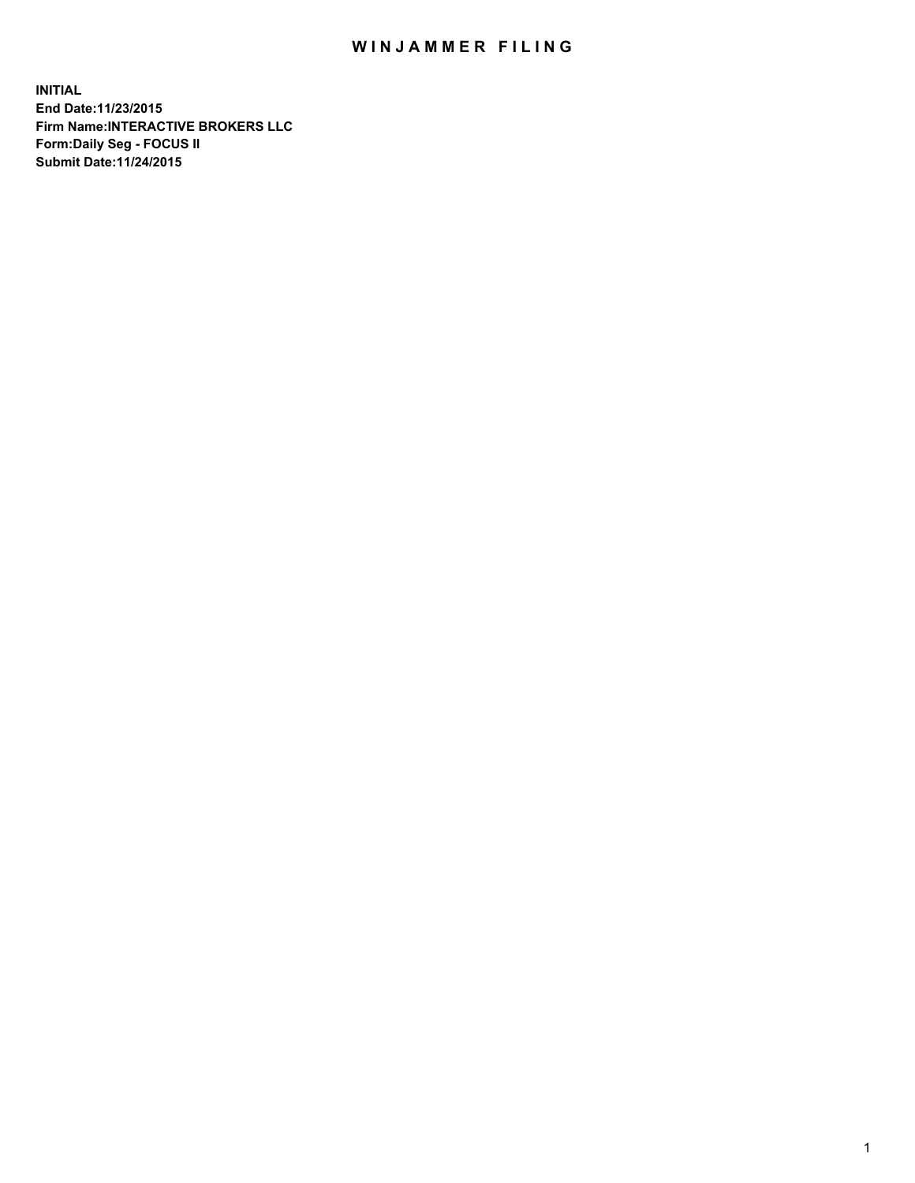## WIN JAMMER FILING

**INITIAL End Date:11/23/2015 Firm Name:INTERACTIVE BROKERS LLC Form:Daily Seg - FOCUS II Submit Date:11/24/2015**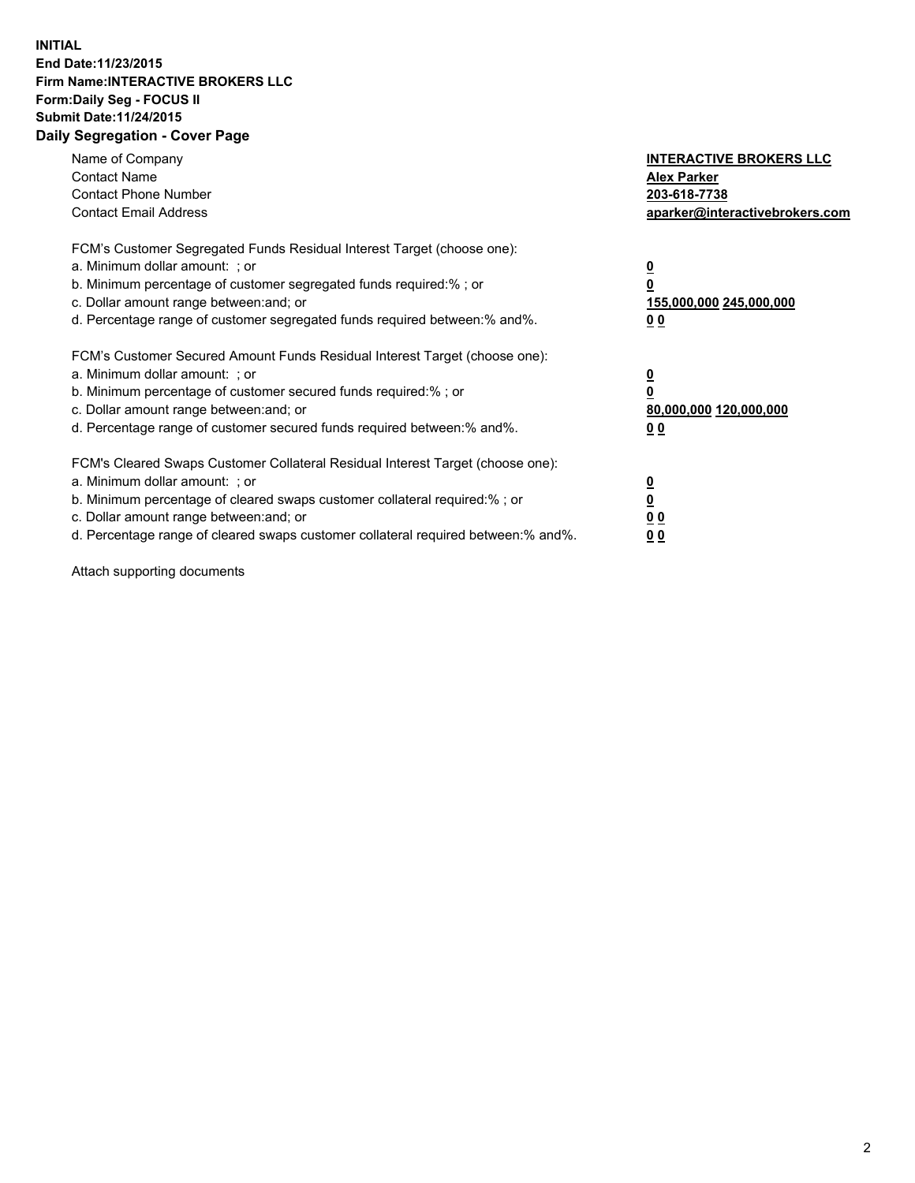## **INITIAL End Date:11/23/2015 Firm Name:INTERACTIVE BROKERS LLC Form:Daily Seg - FOCUS II Submit Date:11/24/2015 Daily Segregation - Cover Page**

| Name of Company<br><b>Contact Name</b><br><b>Contact Phone Number</b><br><b>Contact Email Address</b>                                                                                                                                                                                                                         | <b>INTERACTIVE BROKERS LLC</b><br><b>Alex Parker</b><br>203-618-7738<br>aparker@interactivebrokers.com |
|-------------------------------------------------------------------------------------------------------------------------------------------------------------------------------------------------------------------------------------------------------------------------------------------------------------------------------|--------------------------------------------------------------------------------------------------------|
| FCM's Customer Segregated Funds Residual Interest Target (choose one):<br>a. Minimum dollar amount: ; or<br>b. Minimum percentage of customer segregated funds required:% ; or<br>c. Dollar amount range between: and; or<br>d. Percentage range of customer segregated funds required between: % and %.                      | <u>0</u><br>155,000,000 245,000,000<br>00                                                              |
| FCM's Customer Secured Amount Funds Residual Interest Target (choose one):<br>a. Minimum dollar amount: ; or<br>b. Minimum percentage of customer secured funds required:%; or<br>c. Dollar amount range between: and; or<br>d. Percentage range of customer secured funds required between:% and%.                           | <u>0</u><br>80,000,000 120,000,000<br>00                                                               |
| FCM's Cleared Swaps Customer Collateral Residual Interest Target (choose one):<br>a. Minimum dollar amount: ; or<br>b. Minimum percentage of cleared swaps customer collateral required:%; or<br>c. Dollar amount range between: and; or<br>d. Percentage range of cleared swaps customer collateral required between:% and%. | <u>0</u><br>0 <sub>0</sub><br><u>0 0</u>                                                               |

Attach supporting documents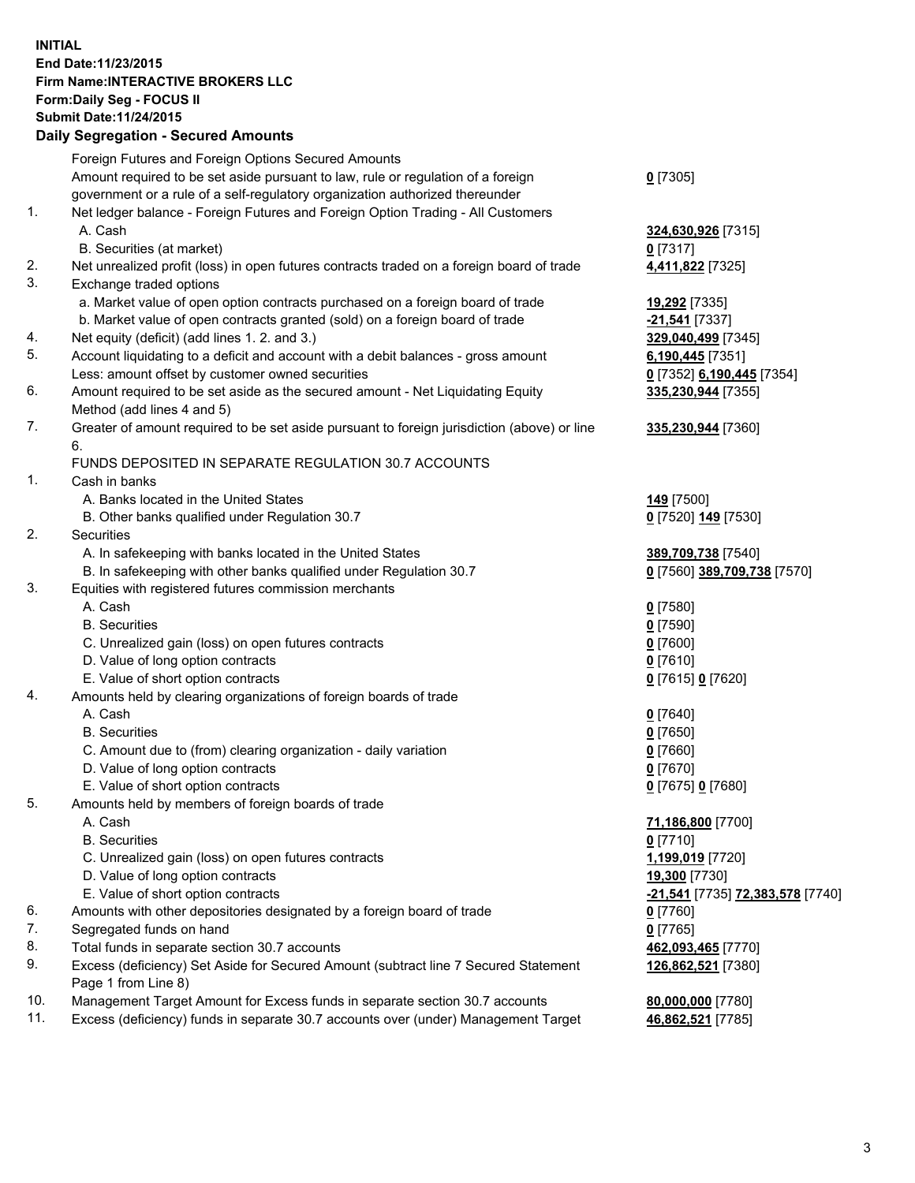## **INITIAL End Date:11/23/2015 Firm Name:INTERACTIVE BROKERS LLC Form:Daily Seg - FOCUS II Submit Date:11/24/2015 Daily Segregation - Secured Amounts**

|     | Foreign Futures and Foreign Options Secured Amounts                                         |                                         |
|-----|---------------------------------------------------------------------------------------------|-----------------------------------------|
|     | Amount required to be set aside pursuant to law, rule or regulation of a foreign            | $0$ [7305]                              |
|     | government or a rule of a self-regulatory organization authorized thereunder                |                                         |
| 1.  | Net ledger balance - Foreign Futures and Foreign Option Trading - All Customers             |                                         |
|     | A. Cash                                                                                     | 324,630,926 [7315]                      |
|     | B. Securities (at market)                                                                   | $0$ [7317]                              |
| 2.  | Net unrealized profit (loss) in open futures contracts traded on a foreign board of trade   | 4,411,822 [7325]                        |
| 3.  | Exchange traded options                                                                     |                                         |
|     | a. Market value of open option contracts purchased on a foreign board of trade              | 19,292 [7335]                           |
|     | b. Market value of open contracts granted (sold) on a foreign board of trade                | -21,541 <sup>[7337]</sup>               |
| 4.  | Net equity (deficit) (add lines 1. 2. and 3.)                                               | 329,040,499 [7345]                      |
| 5.  | Account liquidating to a deficit and account with a debit balances - gross amount           | 6,190,445 [7351]                        |
|     | Less: amount offset by customer owned securities                                            | 0 [7352] 6,190,445 [7354]               |
| 6.  | Amount required to be set aside as the secured amount - Net Liquidating Equity              | 335,230,944 [7355]                      |
|     | Method (add lines 4 and 5)                                                                  |                                         |
| 7.  | Greater of amount required to be set aside pursuant to foreign jurisdiction (above) or line | 335,230,944 [7360]                      |
|     | 6.                                                                                          |                                         |
|     | FUNDS DEPOSITED IN SEPARATE REGULATION 30.7 ACCOUNTS                                        |                                         |
| 1.  | Cash in banks                                                                               |                                         |
|     | A. Banks located in the United States                                                       | 149 <sub>[7500]</sub>                   |
|     | B. Other banks qualified under Regulation 30.7                                              | 0 [7520] 149 [7530]                     |
| 2.  | Securities                                                                                  |                                         |
|     | A. In safekeeping with banks located in the United States                                   | 389,709,738 [7540]                      |
|     | B. In safekeeping with other banks qualified under Regulation 30.7                          | 0 [7560] 389,709,738 [7570]             |
| 3.  | Equities with registered futures commission merchants                                       |                                         |
|     | A. Cash                                                                                     | $0$ [7580]                              |
|     | <b>B.</b> Securities                                                                        | $0$ [7590]                              |
|     | C. Unrealized gain (loss) on open futures contracts                                         | $0$ [7600]                              |
|     | D. Value of long option contracts                                                           | $0$ [7610]                              |
|     | E. Value of short option contracts                                                          | 0 [7615] 0 [7620]                       |
| 4.  | Amounts held by clearing organizations of foreign boards of trade                           |                                         |
|     | A. Cash                                                                                     | $0$ [7640]                              |
|     | <b>B.</b> Securities                                                                        | $0$ [7650]                              |
|     | C. Amount due to (from) clearing organization - daily variation                             | $0$ [7660]                              |
|     | D. Value of long option contracts                                                           | $0$ [7670]                              |
|     | E. Value of short option contracts                                                          | 0 [7675] 0 [7680]                       |
| 5.  | Amounts held by members of foreign boards of trade                                          |                                         |
|     | A. Cash                                                                                     | 71,186,800 [7700]                       |
|     | <b>B.</b> Securities                                                                        | $0$ [7710]                              |
|     | C. Unrealized gain (loss) on open futures contracts                                         | 1,199,019 [7720]                        |
|     | D. Value of long option contracts                                                           | 19,300 [7730]                           |
|     | E. Value of short option contracts                                                          | <u>-21,541</u> [7735] 72,383,578 [7740] |
| 6.  | Amounts with other depositories designated by a foreign board of trade                      | $0$ [7760]                              |
| 7.  | Segregated funds on hand                                                                    | $0$ [7765]                              |
| 8.  | Total funds in separate section 30.7 accounts                                               | 462,093,465 [7770]                      |
| 9.  | Excess (deficiency) Set Aside for Secured Amount (subtract line 7 Secured Statement         | 126,862,521 [7380]                      |
|     | Page 1 from Line 8)                                                                         |                                         |
| 10. | Management Target Amount for Excess funds in separate section 30.7 accounts                 | 80,000,000 [7780]                       |
| 11. | Excess (deficiency) funds in separate 30.7 accounts over (under) Management Target          | 46,862,521 [7785]                       |
|     |                                                                                             |                                         |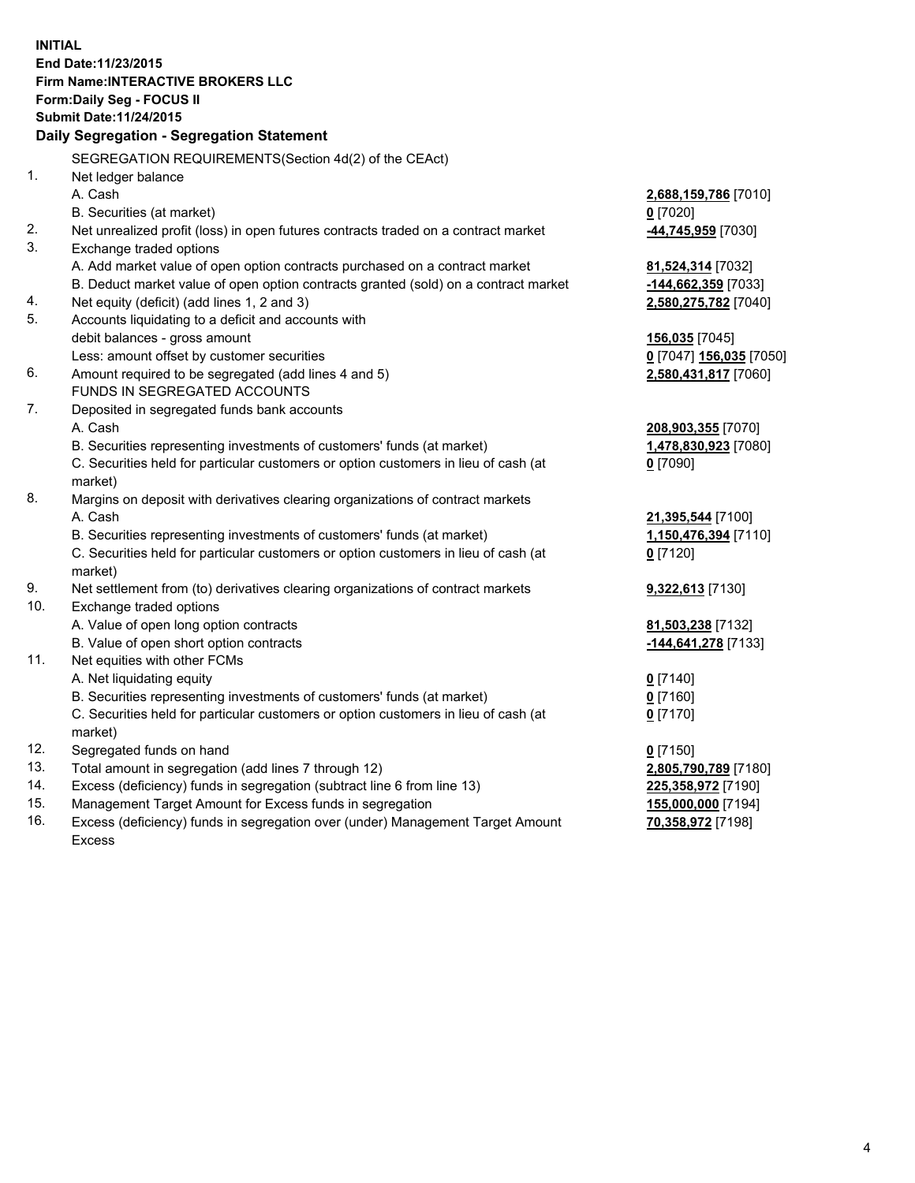**INITIAL End Date:11/23/2015 Firm Name:INTERACTIVE BROKERS LLC Form:Daily Seg - FOCUS II Submit Date:11/24/2015 Daily Segregation - Segregation Statement** SEGREGATION REQUIREMENTS(Section 4d(2) of the CEAct) 1. Net ledger balance A. Cash **2,688,159,786** [7010] B. Securities (at market) **0** [7020] 2. Net unrealized profit (loss) in open futures contracts traded on a contract market **-44,745,959** [7030] 3. Exchange traded options A. Add market value of open option contracts purchased on a contract market **81,524,314** [7032] B. Deduct market value of open option contracts granted (sold) on a contract market **-144,662,359** [7033] 4. Net equity (deficit) (add lines 1, 2 and 3) **2,580,275,782** [7040] 5. Accounts liquidating to a deficit and accounts with debit balances - gross amount **156,035** [7045] Less: amount offset by customer securities **0** [7047] **156,035** [7050] 6. Amount required to be segregated (add lines 4 and 5) **2,580,431,817** [7060] FUNDS IN SEGREGATED ACCOUNTS 7. Deposited in segregated funds bank accounts A. Cash **208,903,355** [7070] B. Securities representing investments of customers' funds (at market) **1,478,830,923** [7080] C. Securities held for particular customers or option customers in lieu of cash (at market) **0** [7090] 8. Margins on deposit with derivatives clearing organizations of contract markets A. Cash **21,395,544** [7100] B. Securities representing investments of customers' funds (at market) **1,150,476,394** [7110] C. Securities held for particular customers or option customers in lieu of cash (at market) **0** [7120] 9. Net settlement from (to) derivatives clearing organizations of contract markets **9,322,613** [7130] 10. Exchange traded options A. Value of open long option contracts **81,503,238** [7132] B. Value of open short option contracts **-144,641,278** [7133] 11. Net equities with other FCMs A. Net liquidating equity **0** [7140] B. Securities representing investments of customers' funds (at market) **0** [7160] C. Securities held for particular customers or option customers in lieu of cash (at market) **0** [7170] 12. Segregated funds on hand **0** [7150] 13. Total amount in segregation (add lines 7 through 12) **2,805,790,789** [7180] 14. Excess (deficiency) funds in segregation (subtract line 6 from line 13) **225,358,972** [7190] 15. Management Target Amount for Excess funds in segregation **155,000,000** [7194] **70,358,972** [7198]

16. Excess (deficiency) funds in segregation over (under) Management Target Amount Excess